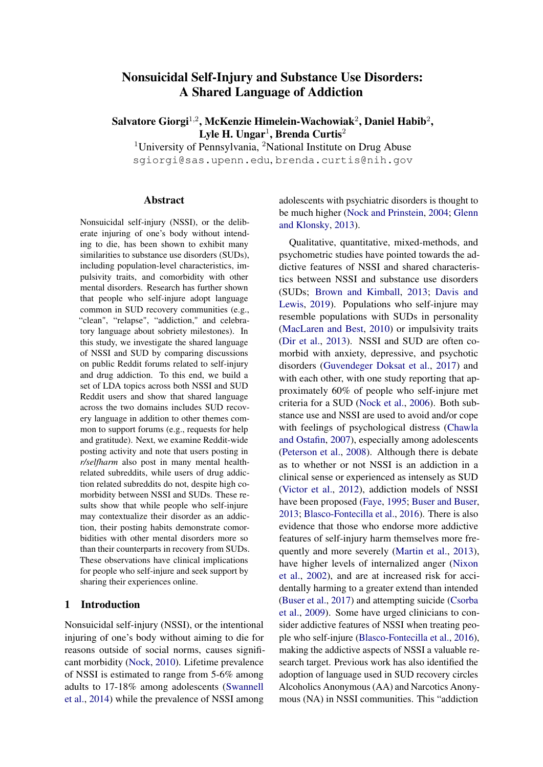# Nonsuicidal Self-Injury and Substance Use Disorders: A Shared Language of Addiction

Salvatore Giorgi $^{1,2}$ , McKenzie Himelein-Wachowiak $^{2}$ , Daniel Habib $^{2},$ Lyle H. Ungar $^1$ , Brenda Curtis $^2$ 

<sup>1</sup>University of Pennsylvania, <sup>2</sup>National Institute on Drug Abuse sgiorgi@sas.upenn.edu, brenda.curtis@nih.gov

#### Abstract

Nonsuicidal self-injury (NSSI), or the deliberate injuring of one's body without intending to die, has been shown to exhibit many similarities to substance use disorders (SUDs), including population-level characteristics, impulsivity traits, and comorbidity with other mental disorders. Research has further shown that people who self-injure adopt language common in SUD recovery communities (e.g., "clean", "relapse", "addiction," and celebratory language about sobriety milestones). In this study, we investigate the shared language of NSSI and SUD by comparing discussions on public Reddit forums related to self-injury and drug addiction. To this end, we build a set of LDA topics across both NSSI and SUD Reddit users and show that shared language across the two domains includes SUD recovery language in addition to other themes common to support forums (e.g., requests for help and gratitude). Next, we examine Reddit-wide posting activity and note that users posting in *r/selfharm* also post in many mental healthrelated subreddits, while users of drug addiction related subreddits do not, despite high comorbidity between NSSI and SUDs. These results show that while people who self-injure may contextualize their disorder as an addiction, their posting habits demonstrate comorbidities with other mental disorders more so than their counterparts in recovery from SUDs. These observations have clinical implications for people who self-injure and seek support by sharing their experiences online.

### 1 Introduction

Nonsuicidal self-injury (NSSI), or the intentional injuring of one's body without aiming to die for reasons outside of social norms, causes significant morbidity [\(Nock,](#page-6-0) [2010\)](#page-6-0). Lifetime prevalence of NSSI is estimated to range from 5-6% among adults to 17-18% among adolescents [\(Swannell](#page-6-1) [et al.,](#page-6-1) [2014\)](#page-6-1) while the prevalence of NSSI among

adolescents with psychiatric disorders is thought to be much higher [\(Nock and Prinstein,](#page-6-2) [2004;](#page-6-2) [Glenn](#page-5-0) [and Klonsky,](#page-5-0) [2013\)](#page-5-0).

Qualitative, quantitative, mixed-methods, and psychometric studies have pointed towards the addictive features of NSSI and shared characteristics between NSSI and substance use disorders (SUDs; [Brown and Kimball,](#page-4-0) [2013;](#page-4-0) [Davis and](#page-5-1) [Lewis,](#page-5-1) [2019\)](#page-5-1). Populations who self-injure may resemble populations with SUDs in personality [\(MacLaren and Best,](#page-5-2) [2010\)](#page-5-2) or impulsivity traits [\(Dir et al.,](#page-5-3) [2013\)](#page-5-3). NSSI and SUD are often comorbid with anxiety, depressive, and psychotic disorders [\(Guvendeger Doksat et al.,](#page-5-4) [2017\)](#page-5-4) and with each other, with one study reporting that approximately 60% of people who self-injure met criteria for a SUD [\(Nock et al.,](#page-6-3) [2006\)](#page-6-3). Both substance use and NSSI are used to avoid and/or cope with feelings of psychological distress [\(Chawla](#page-5-5) [and Ostafin,](#page-5-5) [2007\)](#page-5-5), especially among adolescents [\(Peterson et al.,](#page-6-4) [2008\)](#page-6-4). Although there is debate as to whether or not NSSI is an addiction in a clinical sense or experienced as intensely as SUD [\(Victor et al.,](#page-6-5) [2012\)](#page-6-5), addiction models of NSSI have been proposed [\(Faye,](#page-5-6) [1995;](#page-5-6) [Buser and Buser,](#page-4-1) [2013;](#page-4-1) [Blasco-Fontecilla et al.,](#page-4-2) [2016\)](#page-4-2). There is also evidence that those who endorse more addictive features of self-injury harm themselves more frequently and more severely [\(Martin et al.,](#page-5-7) [2013\)](#page-5-7), have higher levels of internalized anger [\(Nixon](#page-6-6) [et al.,](#page-6-6) [2002\)](#page-6-6), and are at increased risk for accidentally harming to a greater extend than intended [\(Buser et al.,](#page-5-8) [2017\)](#page-5-8) and attempting suicide [\(Csorba](#page-5-9) [et al.,](#page-5-9) [2009\)](#page-5-9). Some have urged clinicians to consider addictive features of NSSI when treating people who self-injure [\(Blasco-Fontecilla et al.,](#page-4-2) [2016\)](#page-4-2), making the addictive aspects of NSSI a valuable research target. Previous work has also identified the adoption of language used in SUD recovery circles Alcoholics Anonymous (AA) and Narcotics Anonymous (NA) in NSSI communities. This "addiction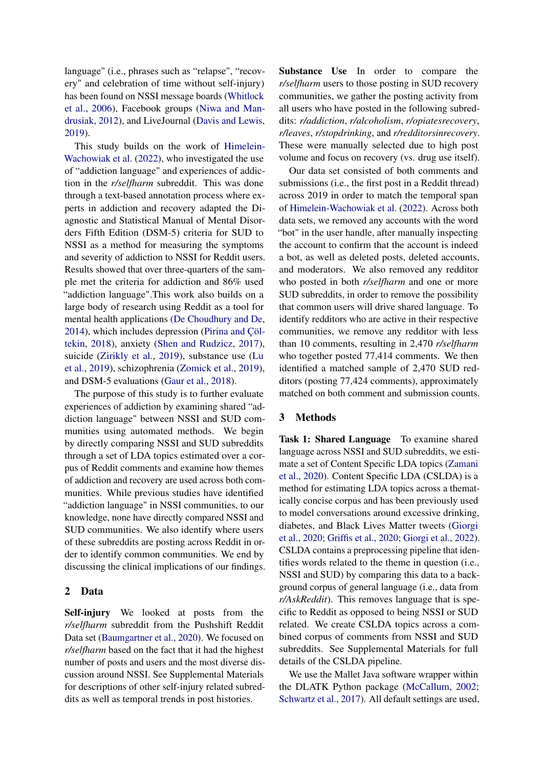language" (i.e., phrases such as "relapse", "recovery" and celebration of time without self-injury) has been found on NSSI message boards [\(Whitlock](#page-6-7) [et al.,](#page-6-7) [2006\)](#page-6-7), Facebook groups [\(Niwa and Man](#page-6-8)[drusiak,](#page-6-8) [2012\)](#page-6-8), and LiveJournal [\(Davis and Lewis,](#page-5-1) [2019\)](#page-5-1).

This study builds on the work of [Himelein-](#page-5-10)[Wachowiak et al.](#page-5-10) [\(2022\)](#page-5-10), who investigated the use of "addiction language" and experiences of addiction in the *r/selfharm* subreddit. This was done through a text-based annotation process where experts in addiction and recovery adapted the Diagnostic and Statistical Manual of Mental Disorders Fifth Edition (DSM-5) criteria for SUD to NSSI as a method for measuring the symptoms and severity of addiction to NSSI for Reddit users. Results showed that over three-quarters of the sample met the criteria for addiction and 86% used "addiction language".This work also builds on a large body of research using Reddit as a tool for mental health applications [\(De Choudhury and De,](#page-5-11) [2014\)](#page-5-11), which includes depression [\(Pirina and Çöl](#page-6-9)[tekin,](#page-6-9) [2018\)](#page-6-9), anxiety [\(Shen and Rudzicz,](#page-6-10) [2017\)](#page-6-10), suicide [\(Zirikly et al.,](#page-6-11) [2019\)](#page-6-11), substance use [\(Lu](#page-5-12) [et al.,](#page-5-12) [2019\)](#page-5-12), schizophrenia [\(Zomick et al.,](#page-6-12) [2019\)](#page-6-12), and DSM-5 evaluations [\(Gaur et al.,](#page-5-13) [2018\)](#page-5-13).

The purpose of this study is to further evaluate experiences of addiction by examining shared "addiction language" between NSSI and SUD communities using automated methods. We begin by directly comparing NSSI and SUD subreddits through a set of LDA topics estimated over a corpus of Reddit comments and examine how themes of addiction and recovery are used across both communities. While previous studies have identified "addiction language" in NSSI communities, to our knowledge, none have directly compared NSSI and SUD communities. We also identify where users of these subreddits are posting across Reddit in order to identify common communities. We end by discussing the clinical implications of our findings.

### 2 Data

Self-injury We looked at posts from the *r/selfharm* subreddit from the Pushshift Reddit Data set [\(Baumgartner et al.,](#page-4-3) [2020\)](#page-4-3). We focused on *r/selfharm* based on the fact that it had the highest number of posts and users and the most diverse discussion around NSSI. See Supplemental Materials for descriptions of other self-injury related subreddits as well as temporal trends in post histories.

Substance Use In order to compare the *r/selfharm* users to those posting in SUD recovery communities, we gather the posting activity from all users who have posted in the following subreddits: *r/addiction*, *r/alcoholism*, *r/opiatesrecovery*, *r/leaves*, *r/stopdrinking*, and *r/redditorsinrecovery*. These were manually selected due to high post volume and focus on recovery (vs. drug use itself).

Our data set consisted of both comments and submissions (i.e., the first post in a Reddit thread) across 2019 in order to match the temporal span of [Himelein-Wachowiak et al.](#page-5-10) [\(2022\)](#page-5-10). Across both data sets, we removed any accounts with the word "bot" in the user handle, after manually inspecting the account to confirm that the account is indeed a bot, as well as deleted posts, deleted accounts, and moderators. We also removed any redditor who posted in both *r/selfharm* and one or more SUD subreddits, in order to remove the possibility that common users will drive shared language. To identify redditors who are active in their respective communities, we remove any redditor with less than 10 comments, resulting in 2,470 *r/selfharm* who together posted 77,414 comments. We then identified a matched sample of 2,470 SUD redditors (posting 77,424 comments), approximately matched on both comment and submission counts.

# 3 Methods

Task 1: Shared Language To examine shared language across NSSI and SUD subreddits, we estimate a set of Content Specific LDA topics [\(Zamani](#page-6-13) [et al.,](#page-6-13) [2020\)](#page-6-13). Content Specific LDA (CSLDA) is a method for estimating LDA topics across a thematically concise corpus and has been previously used to model conversations around excessive drinking, diabetes, and Black Lives Matter tweets [\(Giorgi](#page-5-14) [et al.,](#page-5-14) [2020;](#page-5-14) [Griffis et al.,](#page-5-15) [2020;](#page-5-15) [Giorgi et al.,](#page-5-16) [2022\)](#page-5-16). CSLDA contains a preprocessing pipeline that identifies words related to the theme in question (i.e., NSSI and SUD) by comparing this data to a background corpus of general language (i.e., data from *r/AskReddit*). This removes language that is specific to Reddit as opposed to being NSSI or SUD related. We create CSLDA topics across a combined corpus of comments from NSSI and SUD subreddits. See Supplemental Materials for full details of the CSLDA pipeline.

We use the Mallet Java software wrapper within the DLATK Python package [\(McCallum,](#page-6-14) [2002;](#page-6-14) [Schwartz et al.,](#page-6-15) [2017\)](#page-6-15). All default settings are used,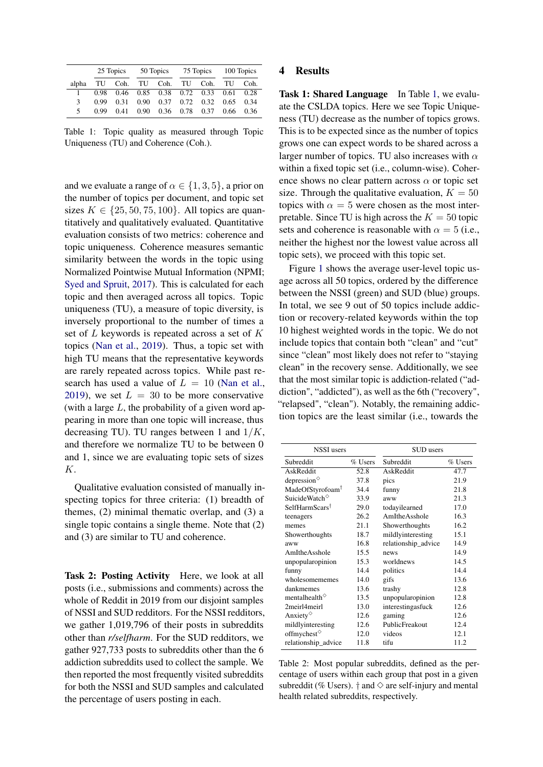<span id="page-2-0"></span>

|               | 25 Topics |      | 50 Topics         |                    | 75 Topics |      | 100 Topics |      |
|---------------|-----------|------|-------------------|--------------------|-----------|------|------------|------|
| alpha         |           |      |                   | TU Coh. TU Coh. TU |           | Coh. | TU         | Coh. |
|               | 0.98      | 0.46 |                   | 0.85 0.38 0.72     |           | 0.33 | 0.61       | 0.28 |
| $\mathcal{F}$ | 0.99      | 0.31 | 0.90 <sub>1</sub> | 0.37               | 0.72      | 0.32 | 0.65       | 0.34 |
| 5             | 0.99      | 0.41 | 0.90 <sub>1</sub> | 0.36               | 0.78      | 0.37 | 0.66       | 0.36 |

Table 1: Topic quality as measured through Topic Uniqueness (TU) and Coherence (Coh.).

and we evaluate a range of  $\alpha \in \{1, 3, 5\}$ , a prior on the number of topics per document, and topic set sizes  $K \in \{25, 50, 75, 100\}$ . All topics are quantitatively and qualitatively evaluated. Quantitative evaluation consists of two metrics: coherence and topic uniqueness. Coherence measures semantic similarity between the words in the topic using Normalized Pointwise Mutual Information (NPMI; [Syed and Spruit,](#page-6-16) [2017\)](#page-6-16). This is calculated for each topic and then averaged across all topics. Topic uniqueness (TU), a measure of topic diversity, is inversely proportional to the number of times a set of L keywords is repeated across a set of K topics [\(Nan et al.,](#page-6-17) [2019\)](#page-6-17). Thus, a topic set with high TU means that the representative keywords are rarely repeated across topics. While past research has used a value of  $L = 10$  [\(Nan et al.,](#page-6-17) [2019\)](#page-6-17), we set  $L = 30$  to be more conservative (with a large  $L$ , the probability of a given word appearing in more than one topic will increase, thus decreasing TU). TU ranges between 1 and  $1/K$ , and therefore we normalize TU to be between 0 and 1, since we are evaluating topic sets of sizes K.

Qualitative evaluation consisted of manually inspecting topics for three criteria: (1) breadth of themes, (2) minimal thematic overlap, and (3) a single topic contains a single theme. Note that (2) and (3) are similar to TU and coherence.

Task 2: Posting Activity Here, we look at all posts (i.e., submissions and comments) across the whole of Reddit in 2019 from our disjoint samples of NSSI and SUD redditors. For the NSSI redditors, we gather 1,019,796 of their posts in subreddits other than *r/selfharm*. For the SUD redditors, we gather 927,733 posts to subreddits other than the 6 addiction subreddits used to collect the sample. We then reported the most frequently visited subreddits for both the NSSI and SUD samples and calculated the percentage of users posting in each.

### 4 Results

Task 1: Shared Language In Table [1,](#page-2-0) we evaluate the CSLDA topics. Here we see Topic Uniqueness (TU) decrease as the number of topics grows. This is to be expected since as the number of topics grows one can expect words to be shared across a larger number of topics. TU also increases with  $\alpha$ within a fixed topic set (i.e., column-wise). Coherence shows no clear pattern across  $\alpha$  or topic set size. Through the qualitative evaluation,  $K = 50$ topics with  $\alpha = 5$  were chosen as the most interpretable. Since TU is high across the  $K = 50$  topic sets and coherence is reasonable with  $\alpha = 5$  (i.e., neither the highest nor the lowest value across all topic sets), we proceed with this topic set.

Figure [1](#page-3-0) shows the average user-level topic usage across all 50 topics, ordered by the difference between the NSSI (green) and SUD (blue) groups. In total, we see 9 out of 50 topics include addiction or recovery-related keywords within the top 10 highest weighted words in the topic. We do not include topics that contain both "clean" and "cut" since "clean" most likely does not refer to "staying clean" in the recovery sense. Additionally, we see that the most similar topic is addiction-related ("addiction", "addicted"), as well as the 6th ("recovery", "relapsed", "clean"). Notably, the remaining addiction topics are the least similar (i.e., towards the

<span id="page-2-1"></span>

| <b>NSSI</b> users                              |         | SUD users           |         |
|------------------------------------------------|---------|---------------------|---------|
| Subreddit                                      | % Users | Subreddit           | % Users |
| AskReddit                                      | 52.8    | AskReddit           | 47.7    |
| depression $\circ$                             | 37.8    | pics                | 21.9    |
| MadeOfStyrofoam <sup>†</sup>                   | 34.4    | funny               | 21.8    |
| Suicide Watch <sup><math>\diamond</math></sup> | 33.9    | aww                 | 21.3    |
| SelfHarmScars <sup>†</sup>                     | 29.0    | todayilearned       | 17.0    |
| teenagers                                      | 26.2    | AmItheAsshole       | 16.3    |
| memes                                          | 21.1    | Showerthoughts      | 16.2    |
| Showerthoughts                                 | 18.7    | mildlyinteresting   | 15.1    |
| aww                                            | 16.8    | relationship_advice | 14.9    |
| AmItheAsshole                                  | 15.5    | news                | 14.9    |
| unpopularopinion                               | 15.3    | worldnews           | 14.5    |
| funny                                          | 14.4    | politics            | 14.4    |
| wholesomememes                                 | 14.0    | gifs                | 13.6    |
| dankmemes                                      | 13.6    | trashy              | 12.8    |
| mentalhealth $\diamond$                        | 13.5    | unpopularopinion    | 12.8    |
| 2meirl4meirl                                   | 13.0    | interestingasfuck   | 12.6    |
| Anxiety <sup><math>\diamond</math></sup>       | 12.6    | gaming              | 12.6    |
| mildlyinteresting                              | 12.6    | PublicFreakout      | 12.4    |
| offmychest $\diamond$                          | 12.0    | videos              | 12.1    |
| relationship_advice                            | 11.8    | tifu                | 11.2    |

Table 2: Most popular subreddits, defined as the percentage of users within each group that post in a given subreddit (% Users).  $\dagger$  and  $\diamond$  are self-injury and mental health related subreddits, respectively.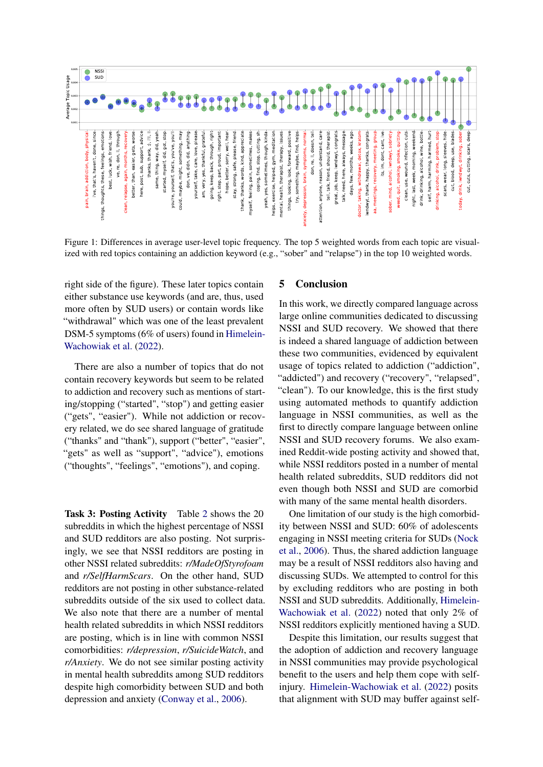<span id="page-3-0"></span>

Figure 1: Differences in average user-level topic frequency. The top 5 weighted words from each topic are visualized with red topics containing an addiction keyword (e.g., "sober" and "relapse") in the top 10 weighted words.

right side of the figure). These later topics contain either substance use keywords (and are, thus, used more often by SUD users) or contain words like "withdrawal" which was one of the least prevalent DSM-5 symptoms (6% of users) found in [Himelein-](#page-5-10)[Wachowiak et al.](#page-5-10) [\(2022\)](#page-5-10).

There are also a number of topics that do not contain recovery keywords but seem to be related to addiction and recovery such as mentions of starting/stopping ("started", "stop") and getting easier ("gets", "easier"). While not addiction or recovery related, we do see shared language of gratitude ("thanks" and "thank"), support ("better", "easier", "gets" as well as "support", "advice"), emotions ("thoughts", "feelings", "emotions"), and coping.

Task 3: Posting Activity Table [2](#page-2-1) shows the 20 subreddits in which the highest percentage of NSSI and SUD redditors are also posting. Not surprisingly, we see that NSSI redditors are posting in other NSSI related subreddits: *r/MadeOfStyrofoam* and *r/SelfHarmScars*. On the other hand, SUD redditors are not posting in other substance-related subreddits outside of the six used to collect data. We also note that there are a number of mental health related subreddits in which NSSI redditors are posting, which is in line with common NSSI comorbidities: *r/depression*, *r/SuicideWatch*, and *r/Anxiety*. We do not see similar posting activity in mental health subreddits among SUD redditors despite high comorbidity between SUD and both depression and anxiety [\(Conway et al.,](#page-5-17) [2006\)](#page-5-17).

#### 5 Conclusion

In this work, we directly compared language across large online communities dedicated to discussing NSSI and SUD recovery. We showed that there is indeed a shared language of addiction between these two communities, evidenced by equivalent usage of topics related to addiction ("addiction", "addicted") and recovery ("recovery", "relapsed", "clean"). To our knowledge, this is the first study using automated methods to quantify addiction language in NSSI communities, as well as the first to directly compare language between online NSSI and SUD recovery forums. We also examined Reddit-wide posting activity and showed that, while NSSI redditors posted in a number of mental health related subreddits, SUD redditors did not even though both NSSI and SUD are comorbid with many of the same mental health disorders.

One limitation of our study is the high comorbidity between NSSI and SUD: 60% of adolescents engaging in NSSI meeting criteria for SUDs [\(Nock](#page-6-3) [et al.,](#page-6-3) [2006\)](#page-6-3). Thus, the shared addiction language may be a result of NSSI redditors also having and discussing SUDs. We attempted to control for this by excluding redditors who are posting in both NSSI and SUD subreddits. Additionally, [Himelein-](#page-5-10)[Wachowiak et al.](#page-5-10) [\(2022\)](#page-5-10) noted that only 2% of NSSI redditors explicitly mentioned having a SUD.

Despite this limitation, our results suggest that the adoption of addiction and recovery language in NSSI communities may provide psychological benefit to the users and help them cope with selfinjury. [Himelein-Wachowiak et al.](#page-5-10) [\(2022\)](#page-5-10) posits that alignment with SUD may buffer against self-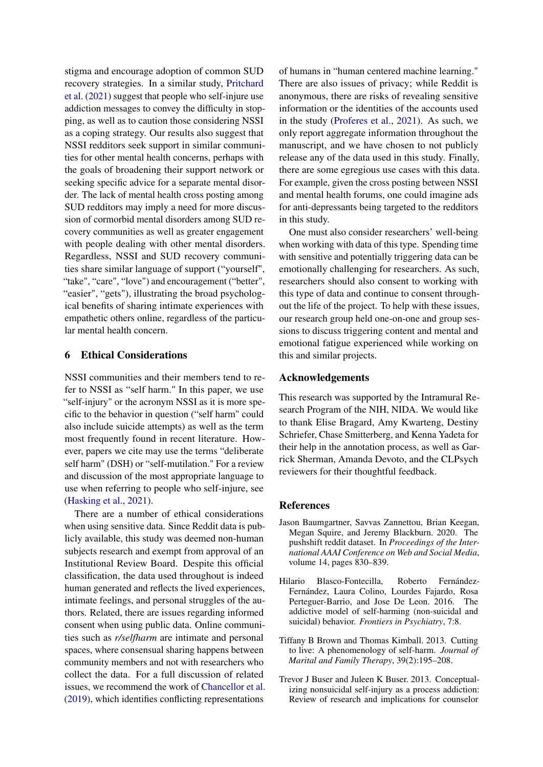stigma and encourage adoption of common SUD recovery strategies. In a similar study, [Pritchard](#page-6-18) [et al.](#page-6-18) [\(2021\)](#page-6-18) suggest that people who self-injure use addiction messages to convey the difficulty in stopping, as well as to caution those considering NSSI as a coping strategy. Our results also suggest that NSSI redditors seek support in similar communities for other mental health concerns, perhaps with the goals of broadening their support network or seeking specific advice for a separate mental disorder. The lack of mental health cross posting among SUD redditors may imply a need for more discussion of cormorbid mental disorders among SUD recovery communities as well as greater engagement with people dealing with other mental disorders. Regardless, NSSI and SUD recovery communities share similar language of support ("yourself", "take", "care", "love") and encouragement ("better", "easier", "gets"), illustrating the broad psychological benefits of sharing intimate experiences with empathetic others online, regardless of the particular mental health concern.

# 6 Ethical Considerations

NSSI communities and their members tend to refer to NSSI as "self harm." In this paper, we use "self-injury" or the acronym NSSI as it is more specific to the behavior in question ("self harm" could also include suicide attempts) as well as the term most frequently found in recent literature. However, papers we cite may use the terms "deliberate self harm" (DSH) or "self-mutilation." For a review and discussion of the most appropriate language to use when referring to people who self-injure, see [\(Hasking et al.,](#page-5-18) [2021\)](#page-5-18).

There are a number of ethical considerations when using sensitive data. Since Reddit data is publicly available, this study was deemed non-human subjects research and exempt from approval of an Institutional Review Board. Despite this official classification, the data used throughout is indeed human generated and reflects the lived experiences, intimate feelings, and personal struggles of the authors. Related, there are issues regarding informed consent when using public data. Online communities such as *r/selfharm* are intimate and personal spaces, where consensual sharing happens between community members and not with researchers who collect the data. For a full discussion of related issues, we recommend the work of [Chancellor et al.](#page-5-19) [\(2019\)](#page-5-19), which identifies conflicting representations

of humans in "human centered machine learning." There are also issues of privacy; while Reddit is anonymous, there are risks of revealing sensitive information or the identities of the accounts used in the study [\(Proferes et al.,](#page-6-19) [2021\)](#page-6-19). As such, we only report aggregate information throughout the manuscript, and we have chosen to not publicly release any of the data used in this study. Finally, there are some egregious use cases with this data. For example, given the cross posting between NSSI and mental health forums, one could imagine ads for anti-depressants being targeted to the redditors in this study.

One must also consider researchers' well-being when working with data of this type. Spending time with sensitive and potentially triggering data can be emotionally challenging for researchers. As such, researchers should also consent to working with this type of data and continue to consent throughout the life of the project. To help with these issues, our research group held one-on-one and group sessions to discuss triggering content and mental and emotional fatigue experienced while working on this and similar projects.

### Acknowledgements

This research was supported by the Intramural Research Program of the NIH, NIDA. We would like to thank Elise Bragard, Amy Kwarteng, Destiny Schriefer, Chase Smitterberg, and Kenna Yadeta for their help in the annotation process, as well as Garrick Sherman, Amanda Devoto, and the CLPsych reviewers for their thoughtful feedback.

#### References

- <span id="page-4-3"></span>Jason Baumgartner, Savvas Zannettou, Brian Keegan, Megan Squire, and Jeremy Blackburn. 2020. The pushshift reddit dataset. In *Proceedings of the International AAAI Conference on Web and Social Media*, volume 14, pages 830–839.
- <span id="page-4-2"></span>Hilario Blasco-Fontecilla, Roberto Fernández-Fernández, Laura Colino, Lourdes Fajardo, Rosa Perteguer-Barrio, and Jose De Leon. 2016. The addictive model of self-harming (non-suicidal and suicidal) behavior. *Frontiers in Psychiatry*, 7:8.
- <span id="page-4-0"></span>Tiffany B Brown and Thomas Kimball. 2013. Cutting to live: A phenomenology of self-harm. *Journal of Marital and Family Therapy*, 39(2):195–208.
- <span id="page-4-1"></span>Trevor J Buser and Juleen K Buser. 2013. Conceptualizing nonsuicidal self-injury as a process addiction: Review of research and implications for counselor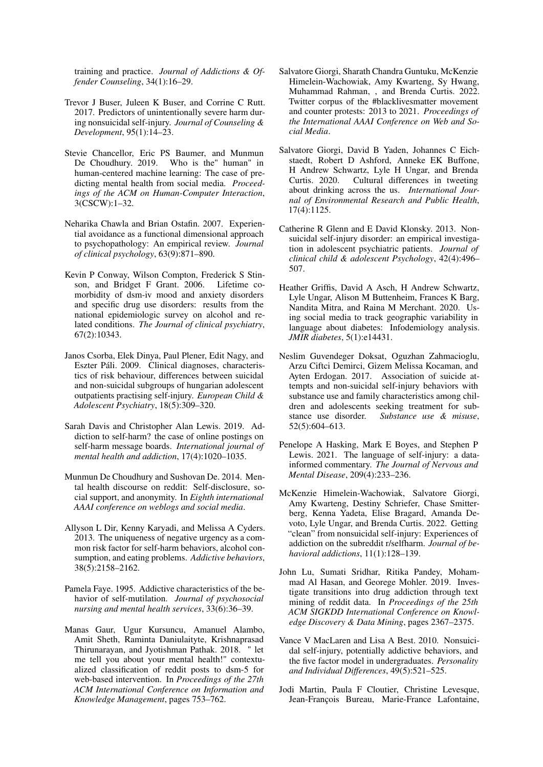training and practice. *Journal of Addictions & Offender Counseling*, 34(1):16–29.

- <span id="page-5-8"></span>Trevor J Buser, Juleen K Buser, and Corrine C Rutt. 2017. Predictors of unintentionally severe harm during nonsuicidal self-injury. *Journal of Counseling & Development*, 95(1):14–23.
- <span id="page-5-19"></span>Stevie Chancellor, Eric PS Baumer, and Munmun De Choudhury. 2019. Who is the" human" in human-centered machine learning: The case of predicting mental health from social media. *Proceedings of the ACM on Human-Computer Interaction*, 3(CSCW):1–32.
- <span id="page-5-5"></span>Neharika Chawla and Brian Ostafin. 2007. Experiential avoidance as a functional dimensional approach to psychopathology: An empirical review. *Journal of clinical psychology*, 63(9):871–890.
- <span id="page-5-17"></span>Kevin P Conway, Wilson Compton, Frederick S Stinson, and Bridget F Grant. 2006. Lifetime comorbidity of dsm-iv mood and anxiety disorders and specific drug use disorders: results from the national epidemiologic survey on alcohol and related conditions. *The Journal of clinical psychiatry*, 67(2):10343.
- <span id="page-5-9"></span>Janos Csorba, Elek Dinya, Paul Plener, Edit Nagy, and Eszter Páli. 2009. Clinical diagnoses, characteristics of risk behaviour, differences between suicidal and non-suicidal subgroups of hungarian adolescent outpatients practising self-injury. *European Child & Adolescent Psychiatry*, 18(5):309–320.
- <span id="page-5-1"></span>Sarah Davis and Christopher Alan Lewis. 2019. Addiction to self-harm? the case of online postings on self-harm message boards. *International journal of mental health and addiction*, 17(4):1020–1035.
- <span id="page-5-11"></span>Munmun De Choudhury and Sushovan De. 2014. Mental health discourse on reddit: Self-disclosure, social support, and anonymity. In *Eighth international AAAI conference on weblogs and social media*.
- <span id="page-5-3"></span>Allyson L Dir, Kenny Karyadi, and Melissa A Cyders. 2013. The uniqueness of negative urgency as a common risk factor for self-harm behaviors, alcohol consumption, and eating problems. *Addictive behaviors*, 38(5):2158–2162.
- <span id="page-5-6"></span>Pamela Faye. 1995. Addictive characteristics of the behavior of self-mutilation. *Journal of psychosocial nursing and mental health services*, 33(6):36–39.
- <span id="page-5-13"></span>Manas Gaur, Ugur Kursuncu, Amanuel Alambo, Amit Sheth, Raminta Daniulaityte, Krishnaprasad Thirunarayan, and Jyotishman Pathak. 2018. " let me tell you about your mental health!" contextualized classification of reddit posts to dsm-5 for web-based intervention. In *Proceedings of the 27th ACM International Conference on Information and Knowledge Management*, pages 753–762.
- <span id="page-5-16"></span>Salvatore Giorgi, Sharath Chandra Guntuku, McKenzie Himelein-Wachowiak, Amy Kwarteng, Sy Hwang, Muhammad Rahman, , and Brenda Curtis. 2022. Twitter corpus of the #blacklivesmatter movement and counter protests: 2013 to 2021. *Proceedings of the International AAAI Conference on Web and Social Media*.
- <span id="page-5-14"></span>Salvatore Giorgi, David B Yaden, Johannes C Eichstaedt, Robert D Ashford, Anneke EK Buffone, H Andrew Schwartz, Lyle H Ungar, and Brenda Curtis. 2020. Cultural differences in tweeting about drinking across the us. *International Journal of Environmental Research and Public Health*, 17(4):1125.
- <span id="page-5-0"></span>Catherine R Glenn and E David Klonsky. 2013. Nonsuicidal self-injury disorder: an empirical investigation in adolescent psychiatric patients. *Journal of clinical child & adolescent Psychology*, 42(4):496– 507.
- <span id="page-5-15"></span>Heather Griffis, David A Asch, H Andrew Schwartz, Lyle Ungar, Alison M Buttenheim, Frances K Barg, Nandita Mitra, and Raina M Merchant. 2020. Using social media to track geographic variability in language about diabetes: Infodemiology analysis. *JMIR diabetes*, 5(1):e14431.
- <span id="page-5-4"></span>Neslim Guvendeger Doksat, Oguzhan Zahmacioglu, Arzu Ciftci Demirci, Gizem Melissa Kocaman, and Ayten Erdogan. 2017. Association of suicide attempts and non-suicidal self-injury behaviors with substance use and family characteristics among children and adolescents seeking treatment for substance use disorder. *Substance use & misuse*, 52(5):604–613.
- <span id="page-5-18"></span>Penelope A Hasking, Mark E Boyes, and Stephen P Lewis. 2021. The language of self-injury: a datainformed commentary. *The Journal of Nervous and Mental Disease*, 209(4):233–236.
- <span id="page-5-10"></span>McKenzie Himelein-Wachowiak, Salvatore Giorgi, Amy Kwarteng, Destiny Schriefer, Chase Smitterberg, Kenna Yadeta, Elise Bragard, Amanda Devoto, Lyle Ungar, and Brenda Curtis. 2022. Getting "clean" from nonsuicidal self-injury: Experiences of addiction on the subreddit r/selfharm. *Journal of behavioral addictions*, 11(1):128–139.
- <span id="page-5-12"></span>John Lu, Sumati Sridhar, Ritika Pandey, Mohammad Al Hasan, and Georege Mohler. 2019. Investigate transitions into drug addiction through text mining of reddit data. In *Proceedings of the 25th ACM SIGKDD International Conference on Knowledge Discovery & Data Mining*, pages 2367–2375.
- <span id="page-5-2"></span>Vance V MacLaren and Lisa A Best. 2010. Nonsuicidal self-injury, potentially addictive behaviors, and the five factor model in undergraduates. *Personality and Individual Differences*, 49(5):521–525.
- <span id="page-5-7"></span>Jodi Martin, Paula F Cloutier, Christine Levesque, Jean-François Bureau, Marie-France Lafontaine,